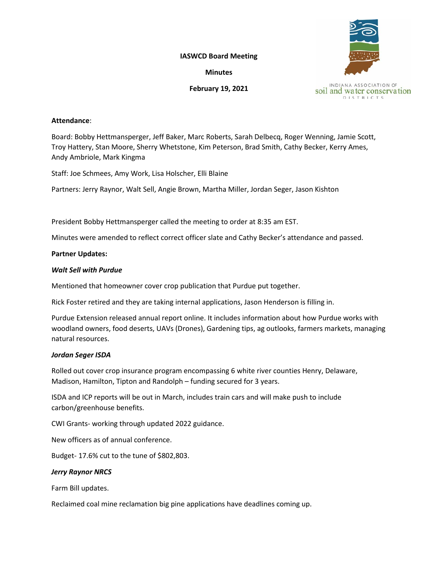**IASWCD Board Meeting**

**Minutes**

**February 19, 2021**



## **Attendance**:

Board: Bobby Hettmansperger, Jeff Baker, Marc Roberts, Sarah Delbecq, Roger Wenning, Jamie Scott, Troy Hattery, Stan Moore, Sherry Whetstone, Kim Peterson, Brad Smith, Cathy Becker, Kerry Ames, Andy Ambriole, Mark Kingma

Staff: Joe Schmees, Amy Work, Lisa Holscher, Elli Blaine

Partners: Jerry Raynor, Walt Sell, Angie Brown, Martha Miller, Jordan Seger, Jason Kishton

President Bobby Hettmansperger called the meeting to order at 8:35 am EST.

Minutes were amended to reflect correct officer slate and Cathy Becker's attendance and passed.

# **Partner Updates:**

# *Walt Sell with Purdue*

Mentioned that homeowner cover crop publication that Purdue put together.

Rick Foster retired and they are taking internal applications, Jason Henderson is filling in.

Purdue Extension released annual report online. It includes information about how Purdue works with woodland owners, food deserts, UAVs (Drones), Gardening tips, ag outlooks, farmers markets, managing natural resources.

# *Jordan Seger ISDA*

Rolled out cover crop insurance program encompassing 6 white river counties Henry, Delaware, Madison, Hamilton, Tipton and Randolph – funding secured for 3 years.

ISDA and ICP reports will be out in March, includes train cars and will make push to include carbon/greenhouse benefits.

CWI Grants- working through updated 2022 guidance.

New officers as of annual conference.

Budget- 17.6% cut to the tune of \$802,803.

# *Jerry Raynor NRCS*

Farm Bill updates.

Reclaimed coal mine reclamation big pine applications have deadlines coming up.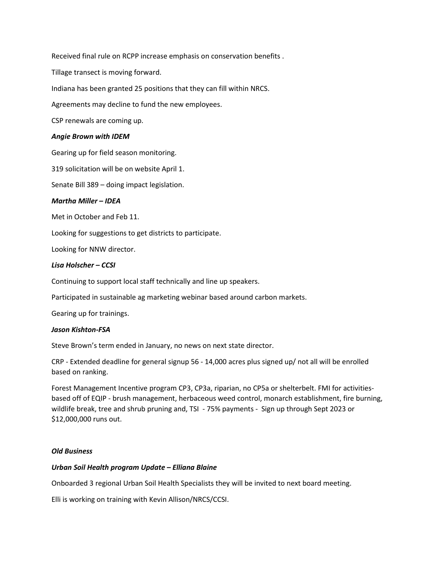Received final rule on RCPP increase emphasis on conservation benefits .

Tillage transect is moving forward.

Indiana has been granted 25 positions that they can fill within NRCS.

Agreements may decline to fund the new employees.

CSP renewals are coming up.

#### *Angie Brown with IDEM*

Gearing up for field season monitoring.

319 solicitation will be on website April 1.

Senate Bill 389 – doing impact legislation.

## *Martha Miller – IDEA*

Met in October and Feb 11.

Looking for suggestions to get districts to participate.

Looking for NNW director.

## *Lisa Holscher – CCSI*

Continuing to support local staff technically and line up speakers.

Participated in sustainable ag marketing webinar based around carbon markets.

Gearing up for trainings.

#### *Jason Kishton-FSA*

Steve Brown's term ended in January, no news on next state director.

CRP - Extended deadline for general signup 56 - 14,000 acres plus signed up/ not all will be enrolled based on ranking.

Forest Management Incentive program CP3, CP3a, riparian, no CP5a or shelterbelt. FMI for activitiesbased off of EQIP - brush management, herbaceous weed control, monarch establishment, fire burning, wildlife break, tree and shrub pruning and, TSI - 75% payments - Sign up through Sept 2023 or \$12,000,000 runs out.

#### *Old Business*

### *Urban Soil Health program Update – Elliana Blaine*

Onboarded 3 regional Urban Soil Health Specialists they will be invited to next board meeting.

Elli is working on training with Kevin Allison/NRCS/CCSI.